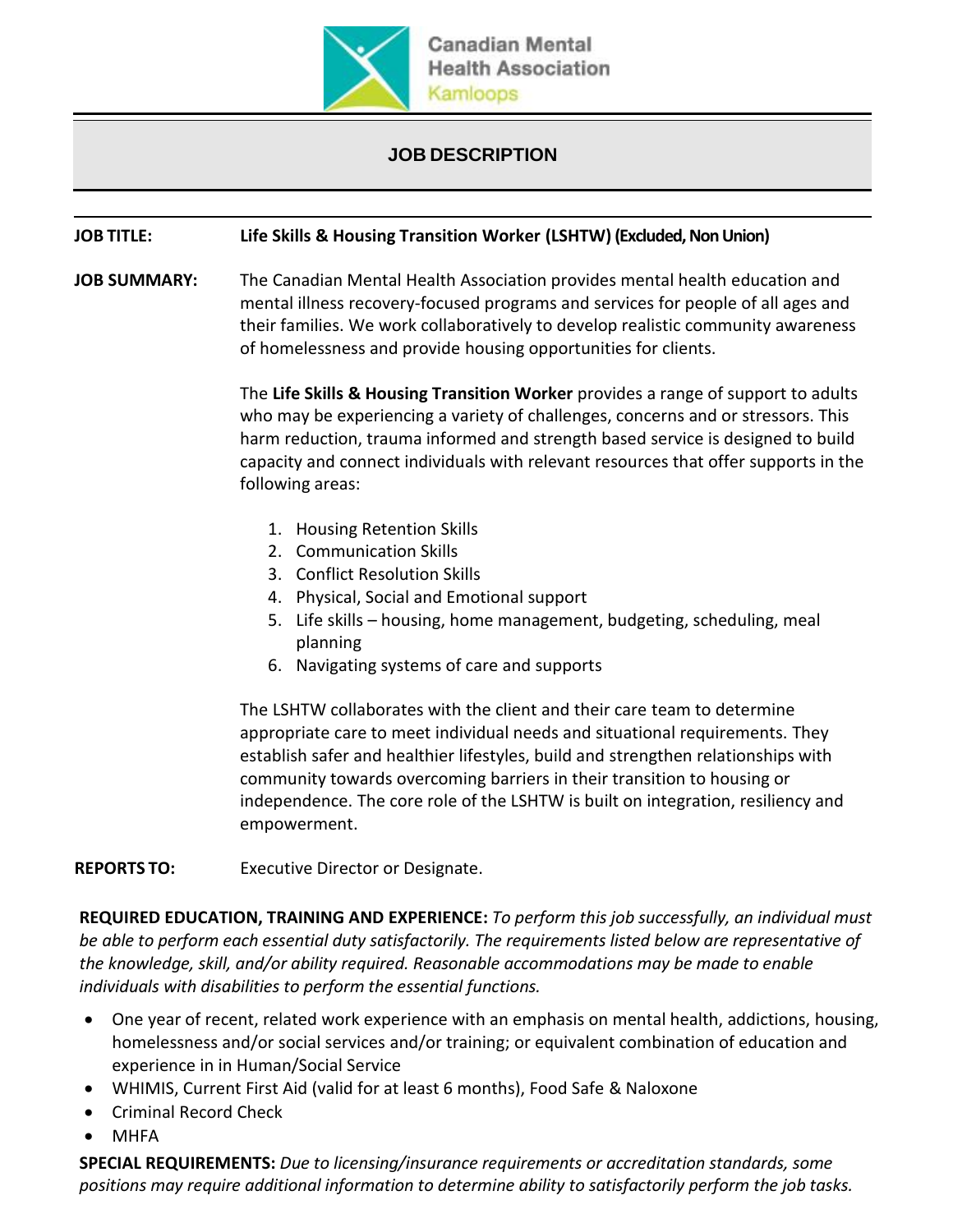

## **JOB DESCRIPTION**

## **JOB TITLE: Life Skills & Housing Transition Worker (LSHTW) (Excluded, Non Union)**

**JOB SUMMARY:** The Canadian Mental Health Association provides mental health education and mental illness recovery-focused programs and services for people of all ages and their families. We work collaboratively to develop realistic community awareness of homelessness and provide housing opportunities for clients.

> The **Life Skills & Housing Transition Worker** provides a range of support to adults who may be experiencing a variety of challenges, concerns and or stressors. This harm reduction, trauma informed and strength based service is designed to build capacity and connect individuals with relevant resources that offer supports in the following areas:

- 1. Housing Retention Skills
- 2. Communication Skills
- 3. Conflict Resolution Skills
- 4. Physical, Social and Emotional support
- 5. Life skills housing, home management, budgeting, scheduling, meal planning
- 6. Navigating systems of care and supports

The LSHTW collaborates with the client and their care team to determine appropriate care to meet individual needs and situational requirements. They establish safer and healthier lifestyles, build and strengthen relationships with community towards overcoming barriers in their transition to housing or independence. The core role of the LSHTW is built on integration, resiliency and empowerment.

**REPORTS TO:** Executive Director or Designate.

**REQUIRED EDUCATION, TRAINING AND EXPERIENCE:** *To perform this job successfully, an individual must be able to perform each essential duty satisfactorily. The requirements listed below are representative of the knowledge, skill, and/or ability required. Reasonable accommodations may be made to enable individuals with disabilities to perform the essential functions.*

- One year of recent, related work experience with an emphasis on mental health, addictions, housing, homelessness and/or social services and/or training; or equivalent combination of education and experience in in Human/Social Service
- WHIMIS, Current First Aid (valid for at least 6 months), Food Safe & Naloxone
- Criminal Record Check
- MHFA

**SPECIAL REQUIREMENTS:** *Due to licensing/insurance requirements or accreditation standards, some positions may require additional information to determine ability to satisfactorily perform the job tasks.*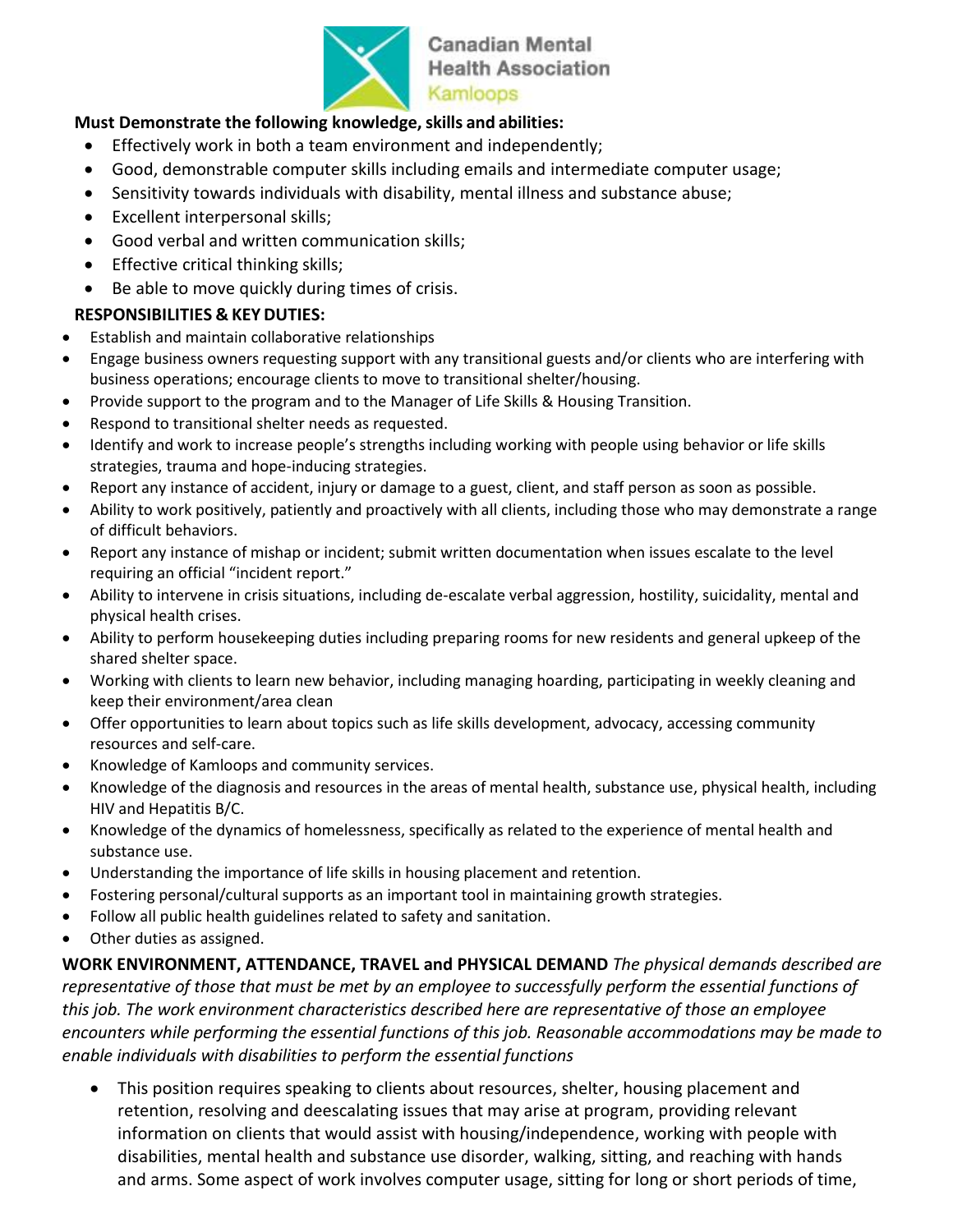

**Canadian Mental Health Association** Kamloops

## **Must Demonstrate the following knowledge,skills and abilities:**

- Effectively work in both a team environment and independently;
- Good, demonstrable computer skills including emails and intermediate computer usage;
- Sensitivity towards individuals with disability, mental illness and substance abuse;
- Excellent interpersonal skills;
- Good verbal and written communication skills;
- Effective critical thinking skills;
- Be able to move quickly during times of crisis.

## **RESPONSIBILITIES & KEY DUTIES:**

- Establish and maintain collaborative relationships
- Engage business owners requesting support with any transitional guests and/or clients who are interfering with business operations; encourage clients to move to transitional shelter/housing.
- Provide support to the program and to the Manager of Life Skills & Housing Transition.
- Respond to transitional shelter needs as requested.
- Identify and work to increase people's strengths including working with people using behavior or life skills strategies, trauma and hope-inducing strategies.
- Report any instance of accident, injury or damage to a guest, client, and staff person as soon as possible.
- Ability to work positively, patiently and proactively with all clients, including those who may demonstrate a range of difficult behaviors.
- Report any instance of mishap or incident; submit written documentation when issues escalate to the level requiring an official "incident report."
- Ability to intervene in crisis situations, including de-escalate verbal aggression, hostility, suicidality, mental and physical health crises.
- Ability to perform housekeeping duties including preparing rooms for new residents and general upkeep of the shared shelter space.
- Working with clients to learn new behavior, including managing hoarding, participating in weekly cleaning and keep their environment/area clean
- Offer opportunities to learn about topics such as life skills development, advocacy, accessing community resources and self-care.
- Knowledge of Kamloops and community services.
- Knowledge of the diagnosis and resources in the areas of mental health, substance use, physical health, including HIV and Hepatitis B/C.
- Knowledge of the dynamics of homelessness, specifically as related to the experience of mental health and substance use.
- Understanding the importance of life skills in housing placement and retention.
- Fostering personal/cultural supports as an important tool in maintaining growth strategies.
- Follow all public health guidelines related to safety and sanitation.
- Other duties as assigned.

**WORK ENVIRONMENT, ATTENDANCE, TRAVEL and PHYSICAL DEMAND** *The physical demands described are representative of those that must be met by an employee to successfully perform the essential functions of this job. The work environment characteristics described here are representative of those an employee encounters while performing the essential functions of this job. Reasonable accommodations may be made to enable individuals with disabilities to perform the essential functions*

• This position requires speaking to clients about resources, shelter, housing placement and retention, resolving and deescalating issues that may arise at program, providing relevant information on clients that would assist with housing/independence, working with people with disabilities, mental health and substance use disorder, walking, sitting, and reaching with hands and arms. Some aspect of work involves computer usage, sitting for long or short periods of time,